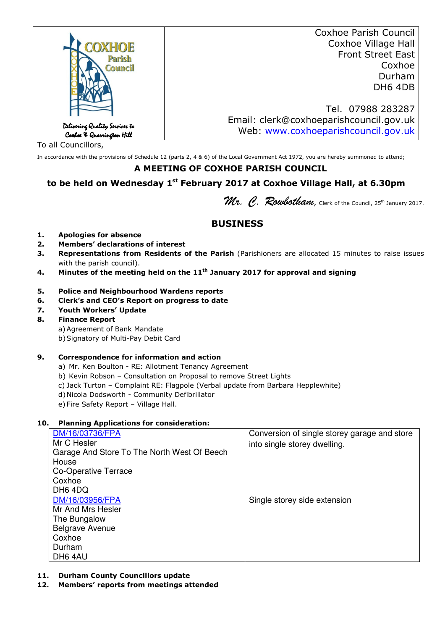|                                                             | <b>Coxhoe Parish Council</b>            |
|-------------------------------------------------------------|-----------------------------------------|
| <b>OXHOE</b>                                                | Coxhoe Village Hall                     |
| Parish                                                      | <b>Front Street East</b>                |
| <b>Council</b>                                              | Coxhoe                                  |
|                                                             | Durham                                  |
|                                                             | DH6 4DB                                 |
|                                                             |                                         |
|                                                             | Tel. 07988 283287                       |
|                                                             | Email: clerk@coxhoeparishcouncil.gov.uk |
| Delivering Quality Services to<br>Coxboe X Quarrington Hill | Web: www.coxhoeparishcouncil.gov.uk     |
|                                                             |                                         |

To all Councillors,

In accordance with the provisions of Schedule 12 (parts 2, 4 & 6) of the Local Government Act 1972, you are hereby summoned to attend;

### **A MEETING OF COXHOE PARISH COUNCIL**

# **to be held on Wednesday 1st February 2017 at Coxhoe Village Hall, at 6.30pm**

Mr. C. Rowbotham, Clerk of the Council, 25<sup>th</sup> January 2017.

# **BUSINESS**

- **1. Apologies for absence**
- **2. Members' declarations of interest**
- **3. Representations from Residents of the Parish** (Parishioners are allocated 15 minutes to raise issues with the parish council).
- **4. Minutes of the meeting held on the 11th January 2017 for approval and signing**
- **5. Police and Neighbourhood Wardens reports**
- **6. Clerk's and CEO's Report on progress to date**
- **7. Youth Workers' Update**
- **8. Finance Report**
	- a) Agreement of Bank Mandate
	- b)Signatory of Multi-Pay Debit Card

#### **9. Correspondence for information and action**

- a) Mr. Ken Boulton RE: Allotment Tenancy Agreement
- b) Kevin Robson Consultation on Proposal to remove Street Lights
- c) Jack Turton Complaint RE: Flagpole (Verbal update from Barbara Hepplewhite)
- d) Nicola Dodsworth Community Defibrillator
- e) Fire Safety Report Village Hall.

#### **10. Planning Applications for consideration:**

| DM/16/03736/FPA<br>Mr C Hesler<br>Garage And Store To The North West Of Beech | Conversion of single storey garage and store<br>into single storey dwelling. |
|-------------------------------------------------------------------------------|------------------------------------------------------------------------------|
| House                                                                         |                                                                              |
| Co-Operative Terrace                                                          |                                                                              |
| Coxhoe                                                                        |                                                                              |
| DH <sub>6</sub> 4D <sub>Q</sub>                                               |                                                                              |
| DM/16/03956/FPA                                                               | Single storey side extension                                                 |
| Mr And Mrs Hesler                                                             |                                                                              |
| The Bungalow                                                                  |                                                                              |
| <b>Belgrave Avenue</b>                                                        |                                                                              |
| Coxhoe                                                                        |                                                                              |
| Durham                                                                        |                                                                              |
| DH6 4AU                                                                       |                                                                              |

- **11. Durham County Councillors update**
- **12. Members' reports from meetings attended**